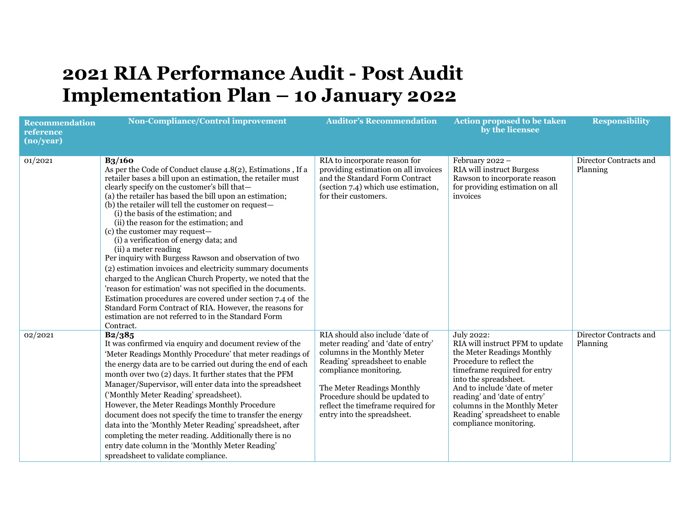## **2021 RIA Performance Audit - Post Audit Implementation Plan – 10 January 2022**

| <b>Recommendation</b><br>reference<br>(no/year) | <b>Non-Compliance/Control improvement</b>                                                                                                                                                                                                                                                                                                                                                                                                                                                                                                                                                                                                                                                                                                                                                                                                                                                                                                        | <b>Auditor's Recommendation</b>                                                                                                                                                                                                                                                                         | <b>Action proposed to be taken</b><br>by the licensee                                                                                                                                                                                                                                                                         | <b>Responsibility</b>              |
|-------------------------------------------------|--------------------------------------------------------------------------------------------------------------------------------------------------------------------------------------------------------------------------------------------------------------------------------------------------------------------------------------------------------------------------------------------------------------------------------------------------------------------------------------------------------------------------------------------------------------------------------------------------------------------------------------------------------------------------------------------------------------------------------------------------------------------------------------------------------------------------------------------------------------------------------------------------------------------------------------------------|---------------------------------------------------------------------------------------------------------------------------------------------------------------------------------------------------------------------------------------------------------------------------------------------------------|-------------------------------------------------------------------------------------------------------------------------------------------------------------------------------------------------------------------------------------------------------------------------------------------------------------------------------|------------------------------------|
| 01/2021                                         | $B_3/160$<br>As per the Code of Conduct clause 4.8(2), Estimations, If a<br>retailer bases a bill upon an estimation, the retailer must<br>clearly specify on the customer's bill that-<br>(a) the retailer has based the bill upon an estimation;<br>(b) the retailer will tell the customer on request-<br>(i) the basis of the estimation; and<br>(ii) the reason for the estimation; and<br>(c) the customer may request-<br>(i) a verification of energy data; and<br>(ii) a meter reading<br>Per inquiry with Burgess Rawson and observation of two<br>(2) estimation invoices and electricity summary documents<br>charged to the Anglican Church Property, we noted that the<br>'reason for estimation' was not specified in the documents.<br>Estimation procedures are covered under section 7.4 of the<br>Standard Form Contract of RIA. However, the reasons for<br>estimation are not referred to in the Standard Form<br>Contract. | RIA to incorporate reason for<br>providing estimation on all invoices<br>and the Standard Form Contract<br>(section 7.4) which use estimation,<br>for their customers.                                                                                                                                  | February 2022 -<br><b>RIA</b> will instruct Burgess<br>Rawson to incorporate reason<br>for providing estimation on all<br>invoices                                                                                                                                                                                            | Director Contracts and<br>Planning |
| 02/2021                                         | B2/385<br>It was confirmed via enquiry and document review of the<br>'Meter Readings Monthly Procedure' that meter readings of<br>the energy data are to be carried out during the end of each<br>month over two (2) days. It further states that the PFM<br>Manager/Supervisor, will enter data into the spreadsheet<br>('Monthly Meter Reading' spreadsheet).<br>However, the Meter Readings Monthly Procedure<br>document does not specify the time to transfer the energy<br>data into the 'Monthly Meter Reading' spreadsheet, after<br>completing the meter reading. Additionally there is no<br>entry date column in the 'Monthly Meter Reading'<br>spreadsheet to validate compliance.                                                                                                                                                                                                                                                   | RIA should also include 'date of<br>meter reading' and 'date of entry'<br>columns in the Monthly Meter<br>Reading' spreadsheet to enable<br>compliance monitoring.<br>The Meter Readings Monthly<br>Procedure should be updated to<br>reflect the timeframe required for<br>entry into the spreadsheet. | July 2022:<br>RIA will instruct PFM to update<br>the Meter Readings Monthly<br>Procedure to reflect the<br>timeframe required for entry<br>into the spreadsheet.<br>And to include 'date of meter<br>reading' and 'date of entry'<br>columns in the Monthly Meter<br>Reading' spreadsheet to enable<br>compliance monitoring. | Director Contracts and<br>Planning |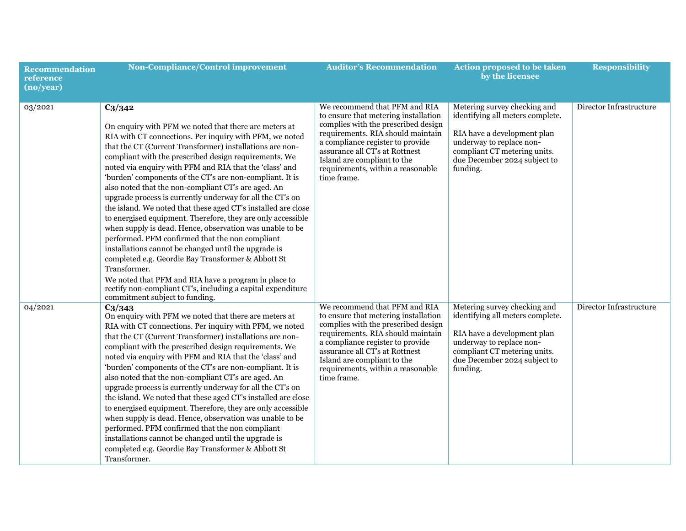| <b>Recommendation</b><br>reference<br>(no/year) | <b>Non-Compliance/Control improvement</b>                                                                                                                                                                                                                                                                                                                                                                                                                                                                                                                                                                                                                                                                                                                                                                                                                                                                                                                                                                                           | <b>Auditor's Recommendation</b>                                                                                                                                                                                                                                                                            | Action proposed to be taken<br>by the licensee                                                                                                                                                          | <b>Responsibility</b>   |
|-------------------------------------------------|-------------------------------------------------------------------------------------------------------------------------------------------------------------------------------------------------------------------------------------------------------------------------------------------------------------------------------------------------------------------------------------------------------------------------------------------------------------------------------------------------------------------------------------------------------------------------------------------------------------------------------------------------------------------------------------------------------------------------------------------------------------------------------------------------------------------------------------------------------------------------------------------------------------------------------------------------------------------------------------------------------------------------------------|------------------------------------------------------------------------------------------------------------------------------------------------------------------------------------------------------------------------------------------------------------------------------------------------------------|---------------------------------------------------------------------------------------------------------------------------------------------------------------------------------------------------------|-------------------------|
| 03/2021                                         | $C_3/342$<br>On enquiry with PFM we noted that there are meters at<br>RIA with CT connections. Per inquiry with PFM, we noted<br>that the CT (Current Transformer) installations are non-<br>compliant with the prescribed design requirements. We<br>noted via enquiry with PFM and RIA that the 'class' and<br>'burden' components of the CT's are non-compliant. It is<br>also noted that the non-compliant CT's are aged. An<br>upgrade process is currently underway for all the CT's on<br>the island. We noted that these aged CT's installed are close<br>to energised equipment. Therefore, they are only accessible<br>when supply is dead. Hence, observation was unable to be<br>performed. PFM confirmed that the non compliant<br>installations cannot be changed until the upgrade is<br>completed e.g. Geordie Bay Transformer & Abbott St<br>Transformer.<br>We noted that PFM and RIA have a program in place to<br>rectify non-compliant CT's, including a capital expenditure<br>commitment subject to funding. | We recommend that PFM and RIA<br>to ensure that metering installation<br>complies with the prescribed design<br>requirements. RIA should maintain<br>a compliance register to provide<br>assurance all CT's at Rottnest<br>Island are compliant to the<br>requirements, within a reasonable<br>time frame. | Metering survey checking and<br>identifying all meters complete.<br>RIA have a development plan<br>underway to replace non-<br>compliant CT metering units.<br>due December 2024 subject to<br>funding. | Director Infrastructure |
| 04/2021                                         | $C_3/343$<br>On enquiry with PFM we noted that there are meters at<br>RIA with CT connections. Per inquiry with PFM, we noted<br>that the CT (Current Transformer) installations are non-<br>compliant with the prescribed design requirements. We<br>noted via enquiry with PFM and RIA that the 'class' and<br>'burden' components of the CT's are non-compliant. It is<br>also noted that the non-compliant CT's are aged. An<br>upgrade process is currently underway for all the CT's on<br>the island. We noted that these aged CT's installed are close<br>to energised equipment. Therefore, they are only accessible<br>when supply is dead. Hence, observation was unable to be<br>performed. PFM confirmed that the non compliant<br>installations cannot be changed until the upgrade is<br>completed e.g. Geordie Bay Transformer & Abbott St<br>Transformer.                                                                                                                                                          | We recommend that PFM and RIA<br>to ensure that metering installation<br>complies with the prescribed design<br>requirements. RIA should maintain<br>a compliance register to provide<br>assurance all CT's at Rottnest<br>Island are compliant to the<br>requirements, within a reasonable<br>time frame. | Metering survey checking and<br>identifying all meters complete.<br>RIA have a development plan<br>underway to replace non-<br>compliant CT metering units.<br>due December 2024 subject to<br>funding. | Director Infrastructure |